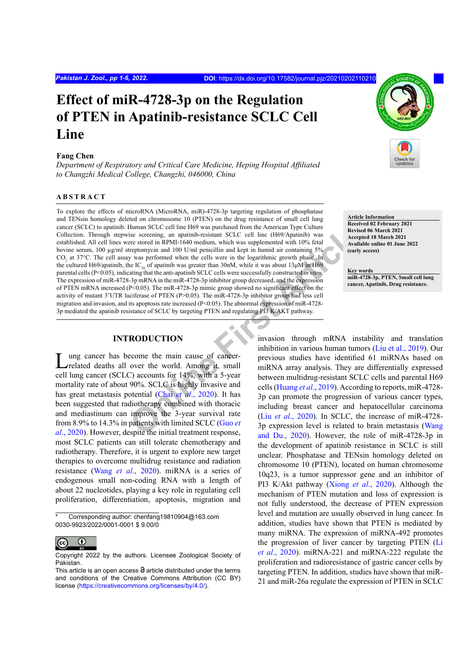# **Effect of miR-4728-3p on the Regulation of PTEN in Apatinib-resistance SCLC Cell Line**

#### **Fang Chen**

*Department of Respiratory and Critical Care Medicine, Heping Hospital Affiliated to Changzhi Medical College, Changzhi, 046000, China*

## **ABSTRACT**

Human SCLC cell line H69 was purchased from the American Type Culture<br>
is secrecing, an apatimib-resistant SCLC cell line (H69/Apatimib) was<br>
rece stored in RPMI-1640 medium, which was supplemented with 10% fetal<br>
repromo To explore the effects of microRNA (MicroRNA, miR)-4728-3p targeting regulation of phosphatase and TENsin homology deleted on chromosome 10 (PTEN) on the drug resistance of small cell lung cancer (SCLC) to apatinib. Human SCLC cell line H69 was purchased from the American Type Culture Collection. Through stepwise screening, an apatinib-resistant SCLC cell line (H69/Apatinib) was established. All cell lines were stored in RPMI-1640 medium, which was supplemented with 10% fetal bovine serum, 100 µg/ml streptomycin and 100 U/ml penicillin and kept in humid air containing 5%  $CO<sub>2</sub>$  at 37°C. The cell assay was performed when the cells were in the logarithmic growth phase. In the cultured H69/apatinib, the IC<sub>50</sub> of apatinib was greater than 30nM, while it was about 13 $\mu$ M in H69 parental cells (P<0.05), indicating that the anti-apatinib SCLC cells were successfully constructed *in vitro*. The expression of miR-4728-3p mRNA in the miR-4728-3p inhibitor group decreased, and the expression of PTEN mRNA increased (P<0.05). The miR-4728-3p mimic group showed no significant effect on the activity of mutant 3'UTR luciferase of PTEN (P>0.05). The miR-4728-3p inhibitor group had less cell migration and invasion, and its apoptosis rate increased  $(P<0.05)$ . The abnormal expression of miR-4728-3p mediated the apatinib resistance of SCLC by targeting PTEN and regulating PI3 K/AKT pathway.

## **INTRODUCTION**

Lung cancer has become the main cause of cancer-<br>
related deaths all over the world. Among it, small cell lung cancer (SCLC) accounts for 14%, with a 5-year mortality rate of about 90%. SCLC is highly invasive and has great metastasis potential (Chai *et al*., 2020). It has been suggested that radiotherapy combined with thoracic and mediastinum can improve the 3-year survival rate from 8.9% to 14.3% in patients with limited SCLC (Guo *et al*[., 2020\)](#page-5-1). However, despite the initial treatment response, most SCLC patients can still tolerate chemotherapy and radiotherapy. Therefore, it is urgent to explore new target therapies to overcome multidrug resistance and radiation resistance (Wang *et al*[., 2020\)](#page-5-2). miRNA is a series of endogenous small non-coding RNA with a length of about 22 nucleotides, playing a key role in regulating cell proliferation, differentiation, apoptosis, migration and

Corresponding author: chenfang19810904@163.com 0030-9923/2022/0001-0001 \$ 9.00/0



Copyright 2022 by the authors. Licensee Zoological Society of Pakistan.



**Article Information Received 02 February 2021 Revised 06 March 2021 Accepted 18 March 2021 Available online 01 June 2022 (early access)**

**Key words miR-4728-3p, PTEN, Small cell lung cancer, Apatinib, Drug resistance.**

invasion through mRNA instability and translation inhibition in various human tumors [\(Liu et al., 2019](#page-5-3)). Our previous studies have identified 61 miRNAs based on miRNA array analysis. They are differentially expressed between multidrug-resistant SCLC cells and parental H69 cells (Huang *et al*., 2019). According to reports, miR-4728- 3p can promote the progression of various cancer types, including breast cancer and hepatocellular carcinoma (Liu *et al*., 2020). In SCLC, the increase of miR-4728- 3p expression level is related to brain metastasis [\(Wang](#page-5-6) [and Du., 2020](#page-5-6)). However, the role of miR-4728-3p in the development of apatinib resistance in SCLC is still unclear. Phosphatase and TENsin homology deleted on chromosome 10 (PTEN), located on human chromosome 10q23, is a tumor suppressor gene and an inhibitor of PI3 K/Akt pathway (Xiong *et al*[., 2020](#page-5-7)). Although the mechanism of PTEN mutation and loss of expression is not fully understood, the decrease of PTEN expression level and mutation are usually observed in lung cancer. In addition, studies have shown that PTEN is mediated by many miRNA. The expression of miRNA-492 promotes the progression of liver cancer by targeting PTEN ([Li](#page-5-8) *et al*[., 2020\)](#page-5-8). miRNA-221 and miRNA-222 regulate the proliferation and radioresistance of gastric cancer cells by targeting PTEN. In addition, studies have shown that miR-21 and miR-26a regulate the expression of PTEN in SCLC

This article is an open access  $\Theta$  article distributed under the terms and conditions of the Creative Commons Attribution (CC BY) license (<https://creativecommons.org/licenses/by/4.0/>).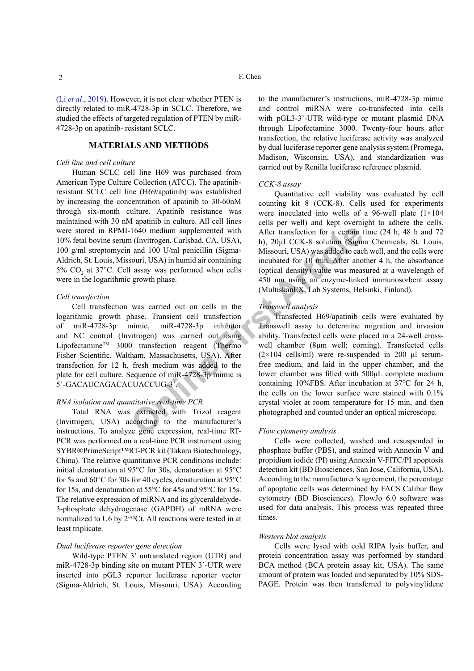(Li *et al*[., 2019](#page-5-9)). However, it is not clear whether PTEN is directly related to miR-4728-3p in SCLC. Therefore, we studied the effects of targeted regulation of PTEN by miR-4728-3p on apatinib- resistant SCLC.

## **MATERIALS AND METHODS**

#### *Cell line and cell culture*

Human SCLC cell line H69 was purchased from American Type Culture Collection (ATCC). The apatinibresistant SCLC cell line (H69/apatinib) was established by increasing the concentration of apatinib to 30-60nM through six-month culture. Apatinib resistance was maintained with 30 nM apatinib in culture. All cell lines were stored in RPMI-1640 medium supplemented with 10% fetal bovine serum (Invitrogen, Carlsbad, CA, USA), 100 g/ml streptomycin and 100 U/ml penicillin (Sigma-Aldrich, St. Louis, Missouri, USA) in humid air containing 5%  $CO<sub>2</sub>$  at 37°C. Cell assay was performed when cells were in the logarithmic growth phase.

#### *Cell transfection*

Cell transfection was carried out on cells in the logarithmic growth phase. Transient cell transfection of miR-4728-3p mimic, miR-4728-3p inhibitor and NC control (Invitrogen) was carried out using Lipofectamine<sup>TM</sup> 3000 transfection reagent (Thermo Fisher Scientific, Waltham, Massachusetts, USA). After transfection for 12 h, fresh medium was added to the plate for cell culture. Sequence of miR-4728-3p mimic is 5'-GACAUCAGACACUACCUG-3'.

#### *RNA isolation and quantitative real-time PCR*

Total RNA was extracted with Trizol reagent (Invitrogen, USA) according to the manufacturer's instructions. To analyze gene expression, real-time RT-PCR was performed on a real-time PCR instrument using SYBR®PrimeScript™RT-PCR kit (Takara Biotechnology, China). The relative quantitative PCR conditions include: initial denaturation at 95°C for 30s, denaturation at 95°C for 5s and 60°C for 30s for 40 cycles, denaturation at 95°C for 15s, and denaturation at 55°C for 45s and 95°C for 15s. The relative expression of miRNA and its glyceraldehyde-3-phosphate dehydrogenase (GAPDH) of mRNA were normalized to U6 by 2-∆∆Ct. All reactions were tested in at least triplicate.

## *Dual luciferase reporter gene detection*

Wild-type PTEN 3' untranslated region (UTR) and miR-4728-3p binding site on mutant PTEN 3'-UTR were inserted into pGL3 reporter luciferase reporter vector (Sigma-Aldrich, St. Louis, Missouri, USA). According

to the manufacturer's instructions, miR-4728-3p mimic and control miRNA were co-transfected into cells with pGL3-3'-UTR wild-type or mutant plasmid DNA through Lipofectamine 3000. Twenty-four hours after transfection, the relative luciferase activity was analyzed by dual luciferase reporter gene analysis system (Promega, Madison, Wisconsin, USA), and standardization was carried out by Renilla luciferase reference plasmid.

#### *CCK-8 assay*

Quantitative cell viability was evaluated by cell counting kit 8 (CCK-8). Cells used for experiments were inoculated into wells of a 96-well plate (1×104 cells per well) and kept overnight to adhere the cells. After transfection for a certain time (24 h, 48 h and 72 h), 20µl CCK-8 solution (Sigma Chemicals, St. Louis, Missouri, USA) was added to each well, and the cells were incubated for 10 min. After another 4 h, the absorbance (optical density) value was measured at a wavelength of 450 nm using an enzyme-linked immunosorbent assay (MultiskanEX, Lab Systems, Helsinki, Finland).

## *Transwell analysis*

1640 medium supplemented with<br>
1640 medium supplemented with<br>
1640 medium supplemented with<br>
1640 media (CA, USA),<br>
1640 media and 100 U/ml penicillin (Sigma-<br>
Missouri, USA) was added to eac<br>
1620 and 100 U/ml penicillin Transfected H69/apatinib cells were evaluated by Transwell assay to determine migration and invasion ability. Transfected cells were placed in a 24-well crosswell chamber (8μm well; corning). Transfected cells  $(2\times104 \text{ cells/ml})$  were re-suspended in 200 μl serumfree medium, and laid in the upper chamber, and the lower chamber was filled with 500μL complete medium containing 10%FBS. After incubation at 37°C for 24 h, the cells on the lower surface were stained with 0.1% crystal violet at room temperature for 15 min, and then photographed and counted under an optical microscope.

#### *Flow cytometry analysis*

Cells were collected, washed and resuspended in phosphate buffer (PBS), and stained with Annexin V and propidium iodide (PI) using Annexin V-FITC/PI apoptosis detection kit (BD Biosciences, San Jose, California, USA). According to the manufacturer's agreement, the percentage of apoptotic cells was determined by FACS Calibur flow cytometry (BD Biosciences). FlowJo 6.0 software was used for data analysis. This process was repeated three times.

#### *Western blot analysis*

Cells were lysed with cold RIPA lysis buffer, and protein concentration assay was performed by standard BCA method (BCA protein assay kit, USA). The same amount of protein was loaded and separated by 10% SDS-PAGE. Protein was then transferred to polyvinylidene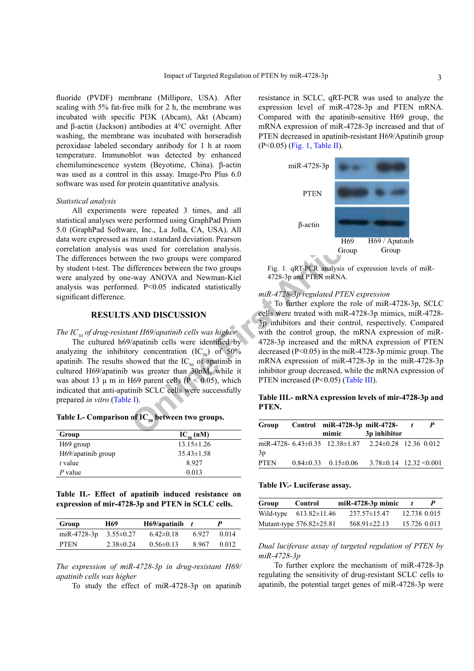fluoride (PVDF) membrane (Millipore, USA). After sealing with 5% fat-free milk for 2 h, the membrane was incubated with specific PI3K (Abcam), Akt (Abcam) and β-actin (Jackson) antibodies at 4°C overnight. After washing, the membrane was incubated with horseradish peroxidase labeled secondary antibody for 1 h at room temperature. Immunoblot was detected by enhanced chemiluminescence system (Beyotime, China). β-actin was used as a control in this assay. Image-Pro Plus 6.0 software was used for protein quantitative analysis.

#### *Statistical analysis*

All experiments were repeated 3 times, and all statistical analyses were performed using GraphPad Prism 5.0 (GraphPad Software, Inc., La Jolla, CA, USA). All data were expressed as mean ±standard deviation. Pearson correlation analysis was used for correlation analysis. The differences between the two groups were compared by student t-test. The differences between the two groups were analyzed by one-way ANOVA and Newman-Kiel analysis was performed. P<0.05 indicated statistically significant difference.

#### **RESULTS AND DISCUSSION**

#### *The IC<sub>50</sub> of drug-resistant H69/apatinib cells was higher*

The cultured h69/apatinib cells were identified by analyzing the inhibitory concentration  $(IC_{50})$  of 50% apatinib. The results showed that the  $IC_{50}$  of apatinib in cultured H69/apatinib was greater than 30nM, while it was about 13  $\mu$  m in H69 parent cells (P < 0.05), which indicated that anti-apatinib SCLC cells were successfully prepared *in vitro* ([Table](#page-2-0) I).

<span id="page-2-0"></span>

| Table I.- Comparison of I $\mathbf{C}_{\mathsf{so}}$ between two groups. |  |  |  |
|--------------------------------------------------------------------------|--|--|--|
|--------------------------------------------------------------------------|--|--|--|

| Group                 | $IC_{50}$ (nM)   |
|-----------------------|------------------|
| H <sub>69</sub> group | $13.15 \pm 1.26$ |
| H69/apatinib group    | $35.43 \pm 1.58$ |
| $t$ value             | 8.927            |
| P value               | 0.013            |

<span id="page-2-2"></span>**Table II.- Effect of apatinib induced resistance on expression of mir-4728-3p and PTEN in SCLC cells.** 

| Group       | H69             | H69/apatinib    | $\mathbf{t}$ | p     |
|-------------|-----------------|-----------------|--------------|-------|
| miR-4728-3p | $3.55 \pm 0.27$ | $6.42\pm0.18$   | 6927         | 0.014 |
| <b>PTEN</b> | $2.38\pm0.24$   | $0.56 \pm 0.13$ | 8967         | 0.012 |

*The expression of miR-4728-3p in drug-resistant H69/ apatinib cells was higher*

To study the effect of miR-4728-3p on apatinib

resistance in SCLC, qRT-PCR was used to analyze the expression level of miR-4728-3p and PTEN mRNA. Compared with the apatinib-sensitive H69 group, the mRNA expression of miR-4728-3p increased and that of PTEN decreased in apatinib-resistant H69/Apatinib group (P<0.05) ([Fig.](#page-2-1) 1, [Table](#page-2-2) II).



<span id="page-2-1"></span>Fig. 1. qRT-PCR analysis of expression levels of miR-4728-3p and PTEN mRNA.

#### *miR-4728-3p regulated PTEN expression*

The Inc. La Jolla, CA, USA). All<br>
mean  $\pm$ standard deviation. Pearson<br>
en the two groups vere compared<br>
Eifferences between the two groups<br>
Eifferences between the two groups<br>
Fig. 1. qRT-PCR analysis of ex-<br>
Fig. 1. qRT-To further explore the role of miR-4728-3p, SCLC cells were treated with miR-4728-3p mimics, miR-4728- 3p inhibitors and their control, respectively. Compared with the control group, the mRNA expression of miR-4728-3p increased and the mRNA expression of PTEN decreased (P<0.05) in the miR-4728-3p mimic group. The mRNA expression of miR-4728-3p in the miR-4728-3p inhibitor group decreased, while the mRNA expression of PTEN increased (P<0.05) (Table III).

## <span id="page-2-3"></span>**Table III.- mRNA expression levels of mir-4728-3p and PTEN.**

| Group       | Control miR-4728-3p miR-4728-                        |                                   | P |
|-------------|------------------------------------------------------|-----------------------------------|---|
|             | mimic                                                | 3p inhibitor                      |   |
| 3p          | miR-4728- 6.43±0.35 12.38±1.87 2.24±0.28 12.36 0.012 |                                   |   |
| <b>PTEN</b> | $0.84 \pm 0.33$ $0.15 \pm 0.06$                      | $3.78 \pm 0.14$ $12.32 \le 0.001$ |   |

#### <span id="page-2-4"></span>**Table IV.- Luciferase assay.**

| Group     | Control                      | $miR-4728-3p$ mimic |              |  |
|-----------|------------------------------|---------------------|--------------|--|
| Wild-type | $613.82 \pm 11.46$           | $237.57 \pm 15.47$  | 12.738 0.015 |  |
|           | Mutant-type $576.82\pm25.81$ | $568.91 \pm 22.13$  | 15.726 0.013 |  |

*Dual luciferase assay of targeted regulation of PTEN by miR-4728-3p*

To further explore the mechanism of miR-4728-3p regulating the sensitivity of drug-resistant SCLC cells to apatinib, the potential target genes of miR-4728-3p were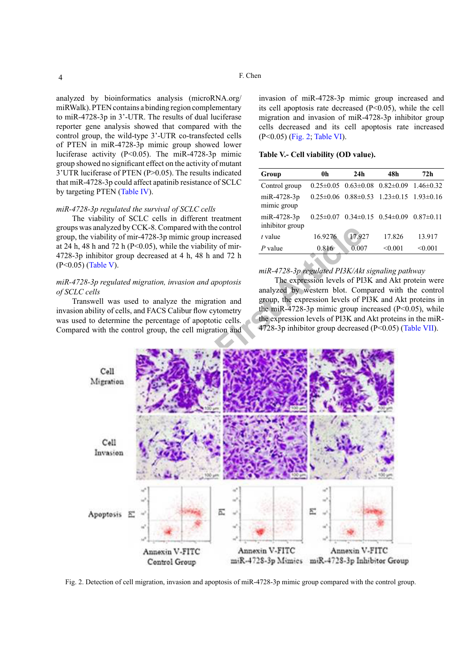## analyzed by bioinformatics analysis (microRNA.org/ miRWalk). PTEN contains a binding region complementary to miR-4728-3p in 3'-UTR. The results of dual luciferase reporter gene analysis showed that compared with the control group, the wild-type 3'-UTR co-transfected cells of PTEN in miR-4728-3p mimic group showed lower luciferase activity (P<0.05). The miR-4728-3p mimic group showed no significant effect on the activity of mutant 3'UTR luciferase of PTEN (P>0.05). The results indicated that miR-4728-3p could affect apatinib resistance of SCLC by targeting PTEN ([Table](#page-2-4) IV).

#### *miR-4728-3p regulated the survival of SCLC cells*

The viability of SCLC cells in different treatment groups was analyzed by CCK-8. Compared with the control group, the viability of mir-4728-3p mimic group increased at 24 h, 48 h and 72 h ( $P \le 0.05$ ), while the viability of mir-4728-3p inhibitor group decreased at 4 h, 48 h and 72 h (P<0.05) ([Table](#page-3-0) V).

## *miR-4728-3p regulated migration, invasion and apoptosis of SCLC cells*

Transwell was used to analyze the migration and invasion ability of cells, and FACS Calibur flow cytometry was used to determine the percentage of apoptotic cells. Compared with the control group, the cell migration and

invasion of miR-4728-3p mimic group increased and its cell apoptosis rate decreased (P<0.05), while the cell migration and invasion of miR-4728-3p inhibitor group cells decreased and its cell apoptosis rate increased (P<0.05) [\(Fig.](#page-3-1) 2; [Table](#page-4-0) VI).

<span id="page-3-0"></span>**Table V.- Cell viability (OD value).**

| Group                          | 0h              | 24h                                             | 48h                                                     | 72h           |
|--------------------------------|-----------------|-------------------------------------------------|---------------------------------------------------------|---------------|
| Control group                  |                 | $0.25 \pm 0.05$ $0.63 \pm 0.08$ $0.82 \pm 0.09$ |                                                         | $1.46\pm0.32$ |
| miR-4728-3p<br>mimic group     |                 |                                                 | $0.25\pm0.06$ $0.88\pm0.53$ $1.23\pm0.15$ $1.93\pm0.16$ |               |
| miR-4728-3p<br>inhibitor group | $0.25 \pm 0.07$ | $0.34\pm0.15$ $0.54\pm0.09$                     |                                                         | $0.87\pm0.11$ |
| $t$ value                      | 16.9276         | 17.927                                          | 17.826                                                  | 13.917        |
| P value                        | 0.816           | 0.007                                           | < 0.001                                                 | < 0.001       |
|                                |                 |                                                 |                                                         |               |

## *miR-4728-3p regulated PI3K/Akt signaling pathway*

The expression levels of PI3K and Akt protein were analyzed by western blot. Compared with the control group, the expression levels of PI3K and Akt proteins in the miR-4728-3p mimic group increased (P<0.05), while the expression levels of PI3K and Akt proteins in the miR-4728-3p inhibitor group decreased (P<0.05) ([Table](#page-4-1) VII).



<span id="page-3-1"></span>Fig. 2. Detection of cell migration, invasion and apoptosis of miR-4728-3p mimic group compared with the control group.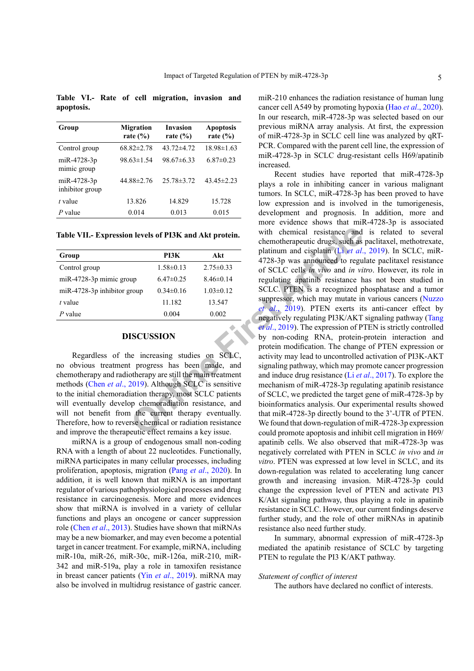<span id="page-4-0"></span>**Table VI.- Rate of cell migration, invasion and apoptosis.**

| Group                          | <b>Migration</b><br>rate $(\% )$ | <b>Invasion</b><br>rate $(\% )$ | <b>Apoptosis</b><br>rate $(\% )$ |
|--------------------------------|----------------------------------|---------------------------------|----------------------------------|
| Control group                  | $68.82 \pm 2.78$                 | $43.72 \pm 4.72$                | $18.98 \pm 1.63$                 |
| miR-4728-3p<br>mimic group     | $98.63 \pm 1.54$                 | $98.67\pm 6.33$                 | $6.87\pm0.23$                    |
| miR-4728-3p<br>inhibitor group | $44.88 \pm 2.76$                 | $25.78 \pm 3.72$                | $43.45 \pm 2.23$                 |
| $t$ value                      | 13.826                           | 14.829                          | 15.728                           |
| $P$ value                      | 0.014                            | 0.013                           | 0.015                            |

<span id="page-4-1"></span>**Table VII.- Expression levels of PI3K and Akt protein.**

| Group                         | PI3K            | Akt             |
|-------------------------------|-----------------|-----------------|
| Control group                 | $1.58 \pm 0.13$ | $2.75 \pm 0.33$ |
| miR-4728-3p mimic group       | $6.47\pm0.25$   | $8.46\pm0.14$   |
| $miR-4728-3p$ inhibitor group | $0.34\pm0.16$   | $1.03 \pm 0.12$ |
| $t$ value                     | 11.182          | 13.547          |
| P value                       | 0.004           | 0.002           |

## **DISCUSSION**

Regardless of the increasing studies on SCLC, no obvious treatment progress has been made, and chemotherapy and radiotherapy are still the main treatment methods (Chen *et al*[., 2019](#page-5-10)). Although SCLC is sensitive to the initial chemoradiation therapy, most SCLC patients will eventually develop chemoradiation resistance, and will not benefit from the current therapy eventually. Therefore, how to reverse chemical or radiation resistance and improve the therapeutic effect remains a key issue.

miRNA is a group of endogenous small non-coding RNA with a length of about 22 nucleotides. Functionally, miRNA participates in many cellular processes, including proliferation, apoptosis, migration (Pang *et al*[., 2020\)](#page-5-11). In addition, it is well known that miRNA is an important regulator of various pathophysiological processes and drug resistance in carcinogenesis. More and more evidences show that miRNA is involved in a variety of cellular functions and plays an oncogene or cancer suppression role (Chen *et al*[., 2013](#page-5-12)). Studies have shown that miRNAs may be a new biomarker, and may even become a potential target in cancer treatment. For example, miRNA, including miR-10a, miR-26, miR-30c, miR-126a, miR-210, miR-342 and miR-519a, play a role in tamoxifen resistance in breast cancer patients (Yin *et al*[., 2019\)](#page-5-13). miRNA may also be involved in multidrug resistance of gastric cancer.

miR-210 enhances the radiation resistance of human lung cancer cell A549 by promoting hypoxia (Hao *et al*[., 2020](#page-5-14)). In our research, miR-4728-3p was selected based on our previous miRNA array analysis. At first, the expression of miR-4728-3p in SCLC cell line was analyzed by qRT-PCR. Compared with the parent cell line, the expression of miR-4728-3p in SCLC drug-resistant cells H69/apatinib increased.

**EXECUSSION**<br> **ONLEAD** The state of the state of the state of the state of the state of the state of the state of the state of the state of the state of the state of the state of the state of the state of the state of the Recent studies have reported that miR-4728-3p plays a role in inhibiting cancer in various malignant tumors. In SCLC, miR-4728-3p has been proved to have low expression and is involved in the tumorigenesis, development and prognosis. In addition, more and more evidence shows that miR-4728-3p is associated with chemical resistance and is related to several chemotherapeutic drugs, such as paclitaxel, methotrexate, platinum and cisplatin (Li *et al*., 2019). In SCLC, miR-4728-3p was announced to regulate paclitaxel resistance of SCLC cells *in vivo* and *in vitro*. However, its role in regulating apatinib resistance has not been studied in SCLC. PTEN is a recognized phosphatase and a tumor suppressor, which may mutate in various cancers [\(Nuzzo](#page-5-16) *et al*., 2019). PTEN exerts its anti-cancer effect by negatively regulating PI3K/AKT signaling pathway [\(Tang](#page-5-17) *et al*., 2019). The expression of PTEN is strictly controlled by non-coding RNA, protein-protein interaction and protein modification. The change of PTEN expression or activity may lead to uncontrolled activation of PI3K-AKT signaling pathway, which may promote cancer progression and induce drug resistance (Li *et al*., 2017). To explore the mechanism of miR-4728-3p regulating apatinib resistance of SCLC, we predicted the target gene of miR-4728-3p by bioinformatics analysis. Our experimental results showed that miR-4728-3p directly bound to the 3'-UTR of PTEN. We found that down-regulation of miR-4728-3p expression could promote apoptosis and inhibit cell migration in H69/ apatinib cells. We also observed that miR-4728-3p was negatively correlated with PTEN in SCLC *in vivo* and *in vitro*. PTEN was expressed at low level in SCLC, and its down-regulation was related to accelerating lung cancer growth and increasing invasion. MiR-4728-3p could change the expression level of PTEN and activate PI3 K/Akt signaling pathway, thus playing a role in apatinib resistance in SCLC. However, our current findings deserve further study, and the role of other miRNAs in apatinib resistance also need further study.

> In summary, abnormal expression of miR-4728-3p mediated the apatinib resistance of SCLC by targeting PTEN to regulate the PI3 K/AKT pathway.

#### *Statement of conflict of interest*

The authors have declared no conflict of interests.